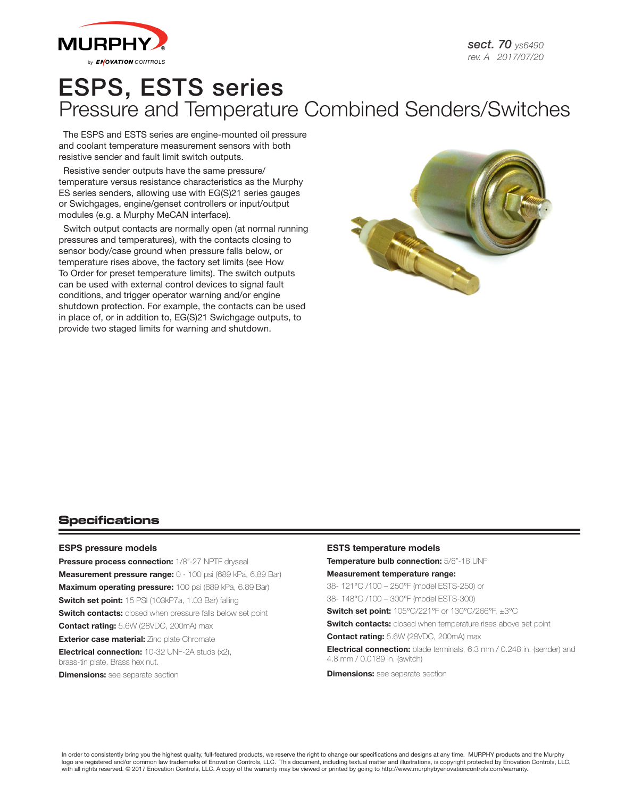

# ESPS, ESTS series Pressure and Temperature Combined Senders/Switches

The ESPS and ESTS series are engine-mounted oil pressure and coolant temperature measurement sensors with both resistive sender and fault limit switch outputs.

Resistive sender outputs have the same pressure/ temperature versus resistance characteristics as the Murphy ES series senders, allowing use with EG(S)21 series gauges or Swichgages, engine/genset controllers or input/output modules (e.g. a Murphy MeCAN interface).

Switch output contacts are normally open (at normal running pressures and temperatures), with the contacts closing to sensor body/case ground when pressure falls below, or temperature rises above, the factory set limits (see How To Order for preset temperature limits). The switch outputs can be used with external control devices to signal fault conditions, and trigger operator warning and/or engine shutdown protection. For example, the contacts can be used in place of, or in addition to, EG(S)21 Swichgage outputs, to provide two staged limits for warning and shutdown.



## **Specifications**

### ESPS pressure models

Pressure process connection: 1/8"-27 NPTF dryseal Measurement pressure range: 0 - 100 psi (689 kPa, 6.89 Bar) Maximum operating pressure: 100 psi (689 kPa, 6.89 Bar) Switch set point: 15 PSI (103kP7a, 1.03 Bar) falling **Switch contacts:** closed when pressure falls below set point Contact rating: 5.6W (28VDC, 200mA) max **Exterior case material:** Zinc plate Chromate Electrical connection: 10-32 UNF-2A studs (x2), brass-tin plate. Brass hex nut.

**Dimensions:** see separate section

### ESTS temperature models

Temperature bulb connection: 5/8"-18 UNF

#### Measurement temperature range:

38- 121°C /100 – 250°F (model ESTS-250) or

38- 148°C /100 – 300°F (model ESTS-300)

Switch set point: 105°C/221°F or 130°C/266°F, ±3°C

**Switch contacts:** closed when temperature rises above set point

Contact rating: 5.6W (28VDC, 200mA) max

Electrical connection: blade terminals, 6.3 mm / 0.248 in. (sender) and 4.8 mm / 0.0189 in. (switch)

**Dimensions:** see separate section